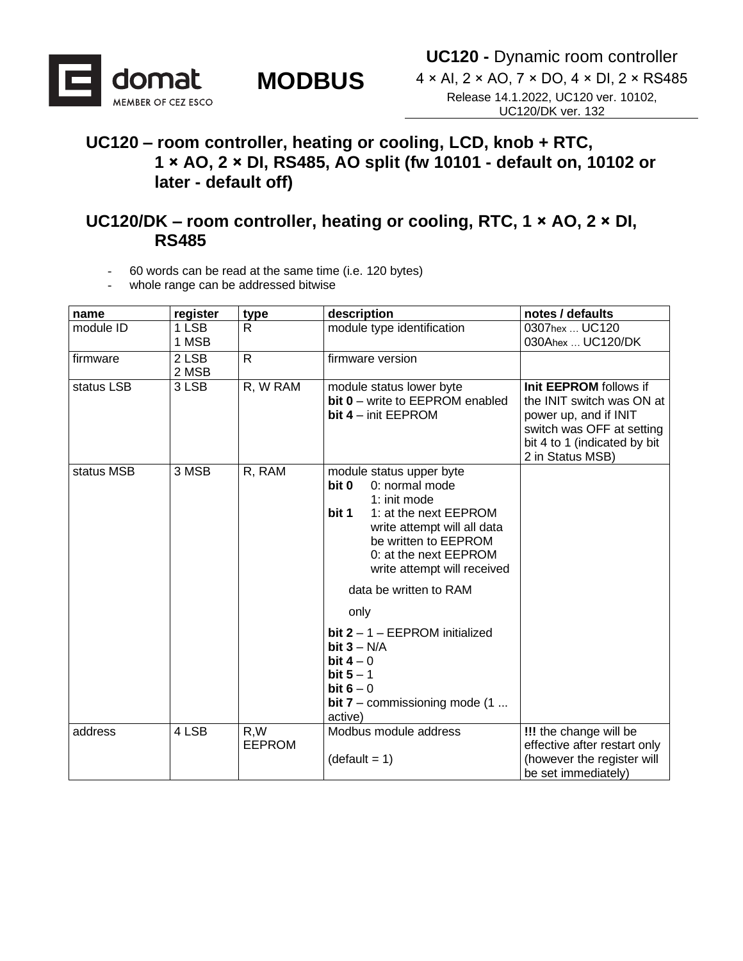

4 × AI, 2 × AO, 7 × DO, 4 × DI, 2 × RS485 Release 14.1.2022, UC120 ver. 10102, UC120/DK ver. 132

#### **UC120 – room controller, heating or cooling, LCD, knob + RTC, 1 × AO, 2 × DI, RS485, AO split (fw 10101 - default on, 10102 or later - default off)**

**MODBUS** 

#### **UC120/DK – room controller, heating or cooling, RTC, 1 × AO, 2 × DI, RS485**

- 60 words can be read at the same time (i.e. 120 bytes)
- whole range can be addressed bitwise

| name       | register       | type                 | description                                                                                                                                                                                                                                                                                                                                                                                                       | notes / defaults                                                                                                                                              |  |  |
|------------|----------------|----------------------|-------------------------------------------------------------------------------------------------------------------------------------------------------------------------------------------------------------------------------------------------------------------------------------------------------------------------------------------------------------------------------------------------------------------|---------------------------------------------------------------------------------------------------------------------------------------------------------------|--|--|
| module ID  | 1 LSB          | R                    | module type identification                                                                                                                                                                                                                                                                                                                                                                                        | 0307hex  UC120                                                                                                                                                |  |  |
|            | 1 MSB          |                      |                                                                                                                                                                                                                                                                                                                                                                                                                   | 030Ahex  UC120/DK                                                                                                                                             |  |  |
| firmware   | 2 LSB<br>2 MSB | $\mathsf{R}$         | firmware version                                                                                                                                                                                                                                                                                                                                                                                                  |                                                                                                                                                               |  |  |
| status LSB | 3 LSB          | R, W RAM             | module status lower byte<br>bit 0 - write to EEPROM enabled<br>bit $4 - \text{init}$ EEPROM                                                                                                                                                                                                                                                                                                                       | Init EEPROM follows if<br>the INIT switch was ON at<br>power up, and if INIT<br>switch was OFF at setting<br>bit 4 to 1 (indicated by bit<br>2 in Status MSB) |  |  |
| status MSB | 3 MSB          | R, RAM               | module status upper byte<br>bit 0<br>0: normal mode<br>1: init mode<br>bit 1<br>1: at the next EEPROM<br>write attempt will all data<br>be written to EEPROM<br>0: at the next EEPROM<br>write attempt will received<br>data be written to RAM<br>only<br>bit $2 - 1 - EEPROM$ initialized<br>bit $3 - N/A$<br>bit $4-0$<br>bit $5 - 1$<br>bit $6 - 0$<br><b>bit 7</b> – commissioning mode $(1 \dots$<br>active) |                                                                                                                                                               |  |  |
| address    | 4 LSB          | R,W<br><b>EEPROM</b> | Modbus module address<br>!!! the change will be<br>effective after restart only<br>$(detault = 1)$<br>(however the register will<br>be set immediately)                                                                                                                                                                                                                                                           |                                                                                                                                                               |  |  |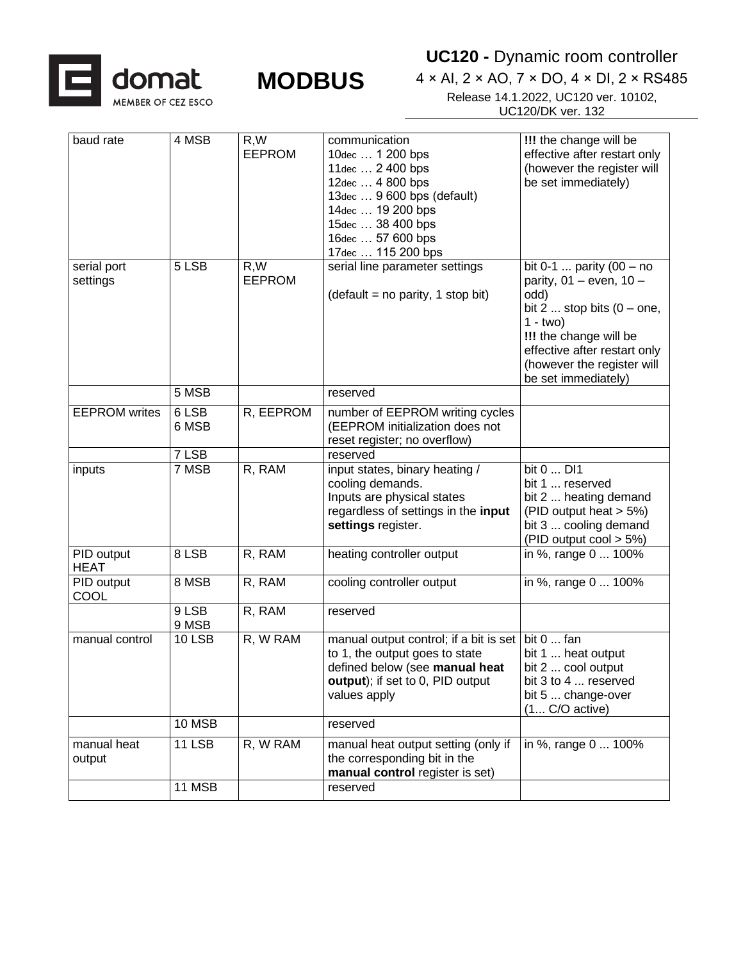



**UC120 -** Dynamic room controller

| baud rate                 | 4 MSB          | R, W<br><b>EEPROM</b> | communication<br>10dec  1 200 bps<br>11dec  2 400 bps<br>12dec  4 800 bps<br>13dec  9 600 bps (default)<br>14dec  19 200 bps<br>15dec  38 400 bps<br>16dec  57 600 bps<br>17dec  115 200 bps | !!! the change will be<br>effective after restart only<br>(however the register will<br>be set immediately)                                                                                                                          |
|---------------------------|----------------|-----------------------|----------------------------------------------------------------------------------------------------------------------------------------------------------------------------------------------|--------------------------------------------------------------------------------------------------------------------------------------------------------------------------------------------------------------------------------------|
| serial port<br>settings   | 5 LSB          | R,W<br><b>EEPROM</b>  | serial line parameter settings<br>$(detault = no parity, 1 stop bit)$                                                                                                                        | bit 0-1  parity $(00 - no$<br>parity, $01 -$ even, $10 -$<br>odd)<br>bit $2 \dots$ stop bits $(0 -$ one,<br>$1 - two$<br>!!! the change will be<br>effective after restart only<br>(however the register will<br>be set immediately) |
|                           | 5 MSB          |                       | reserved                                                                                                                                                                                     |                                                                                                                                                                                                                                      |
| <b>EEPROM</b> writes      | 6 LSB<br>6 MSB | R, EEPROM             | number of EEPROM writing cycles<br>(EEPROM initialization does not<br>reset register; no overflow)                                                                                           |                                                                                                                                                                                                                                      |
|                           | 7 LSB          |                       | reserved                                                                                                                                                                                     |                                                                                                                                                                                                                                      |
| inputs                    | 7 MSB          | R, RAM                | input states, binary heating /<br>cooling demands.<br>Inputs are physical states<br>regardless of settings in the input<br>settings register.                                                | bit 0  DI1<br>bit 1  reserved<br>bit 2  heating demand<br>(PID output heat > 5%)<br>bit 3  cooling demand<br>(PID output $\cos 5\%$ )                                                                                                |
| PID output<br><b>HEAT</b> | 8 LSB          | R, RAM                | heating controller output                                                                                                                                                                    | $\overline{in\%}$ , range 0  100%                                                                                                                                                                                                    |
| PID output<br>COOL        | 8 MSB          | R, RAM                | cooling controller output                                                                                                                                                                    | in %, range 0  100%                                                                                                                                                                                                                  |
|                           | 9 LSB<br>9 MSB | R, RAM                | reserved                                                                                                                                                                                     |                                                                                                                                                                                                                                      |
| manual control            | <b>10 LSB</b>  | R, W RAM              | manual output control; if a bit is set<br>to 1, the output goes to state<br>defined below (see manual heat<br>output); if set to 0, PID output<br>values apply                               | bit 0  fan<br>bit 1  heat output<br>bit 2  cool output<br>bit 3 to 4  reserved<br>bit 5  change-over<br>$(1 C/O$ active)                                                                                                             |
|                           | 10 MSB         |                       | reserved                                                                                                                                                                                     |                                                                                                                                                                                                                                      |
| manual heat<br>output     | <b>11 LSB</b>  | R, W RAM              | manual heat output setting (only if<br>the corresponding bit in the<br>manual control register is set)                                                                                       | in %, range 0  100%                                                                                                                                                                                                                  |
|                           | 11 MSB         |                       | reserved                                                                                                                                                                                     |                                                                                                                                                                                                                                      |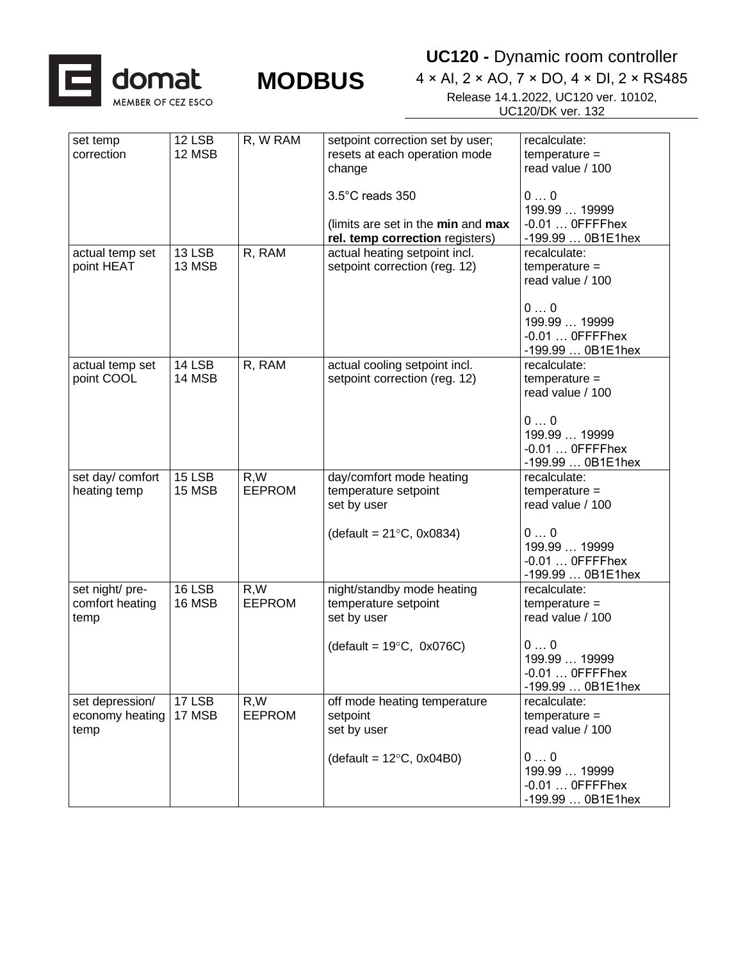

**UC120 -** Dynamic room controller

| set temp         | 12 LSB | R, W RAM      | setpoint correction set by user;   | recalculate:      |
|------------------|--------|---------------|------------------------------------|-------------------|
| correction       | 12 MSB |               | resets at each operation mode      | $temperature =$   |
|                  |        |               | change                             | read value / 100  |
|                  |        |               |                                    |                   |
|                  |        |               |                                    |                   |
|                  |        |               | 3.5°C reads 350                    | 00                |
|                  |        |               |                                    | 199.99  19999     |
|                  |        |               | (limits are set in the min and max | $-0.01$ OFFFFhex  |
|                  |        |               | rel. temp correction registers)    | -199.99  0B1E1hex |
| actual temp set  | 13 LSB | R, RAM        | actual heating setpoint incl.      | recalculate:      |
| point HEAT       | 13 MSB |               | setpoint correction (reg. 12)      | $temperature =$   |
|                  |        |               |                                    | read value / 100  |
|                  |        |               |                                    |                   |
|                  |        |               |                                    |                   |
|                  |        |               |                                    | 00                |
|                  |        |               |                                    | 199.99  19999     |
|                  |        |               |                                    | $-0.01$ OFFFFhex  |
|                  |        |               |                                    | -199.99  0B1E1hex |
| actual temp set  | 14 LSB | R, RAM        | actual cooling setpoint incl.      | recalculate:      |
| point COOL       | 14 MSB |               | setpoint correction (reg. 12)      | $temperature =$   |
|                  |        |               |                                    | read value / 100  |
|                  |        |               |                                    |                   |
|                  |        |               |                                    |                   |
|                  |        |               |                                    | 00                |
|                  |        |               |                                    | 199.99  19999     |
|                  |        |               |                                    | $-0.01$ OFFFFhex  |
|                  |        |               |                                    | -199.99  0B1E1hex |
| set day/ comfort | 15 LSB | R, W          | day/comfort mode heating           | recalculate:      |
| heating temp     | 15 MSB | <b>EEPROM</b> | temperature setpoint               | $temperature =$   |
|                  |        |               |                                    |                   |
|                  |        |               | set by user                        | read value / 100  |
|                  |        |               |                                    |                   |
|                  |        |               | (default = $21^{\circ}$ C, 0x0834) | 00                |
|                  |        |               |                                    | 199.99  19999     |
|                  |        |               |                                    | $-0.01$ OFFFFhex  |
|                  |        |               |                                    | -199.99  0B1E1hex |
| set night/ pre-  | 16 LSB | R, W          | night/standby mode heating         | recalculate:      |
| comfort heating  | 16 MSB | <b>EEPROM</b> | temperature setpoint               | $temperature =$   |
|                  |        |               |                                    | read value / 100  |
| temp             |        |               | set by user                        |                   |
|                  |        |               |                                    |                   |
|                  |        |               | (default = $19^{\circ}$ C, 0x076C) | 00                |
|                  |        |               |                                    | 199.99  19999     |
|                  |        |               |                                    | -0.01  OFFFFhex   |
|                  |        |               |                                    | -199.99  0B1E1hex |
| set depression/  | 17 LSB | R, W          | off mode heating temperature       | recalculate:      |
| economy heating  | 17 MSB | <b>EEPROM</b> | setpoint                           | $temperature =$   |
|                  |        |               | set by user                        | read value / 100  |
| temp             |        |               |                                    |                   |
|                  |        |               |                                    |                   |
|                  |        |               | (default = $12^{\circ}$ C, 0x04B0) | 00                |
|                  |        |               |                                    | 199.99  19999     |
|                  |        |               |                                    | $-0.01$ OFFFFhex  |
|                  |        |               |                                    | -199.99  0B1E1hex |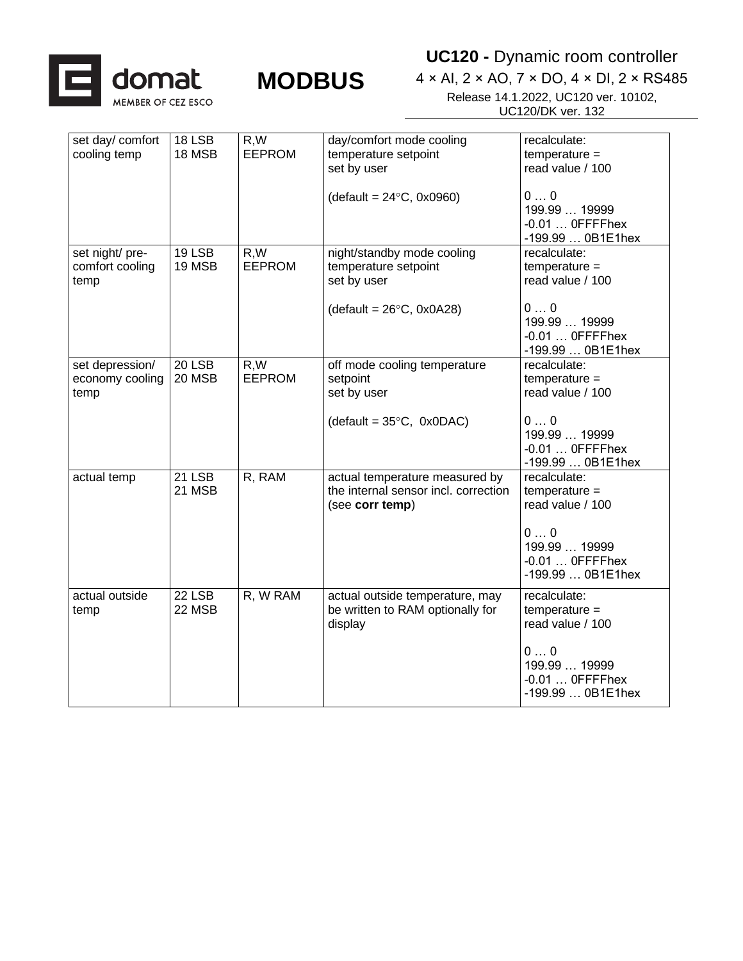

### **UC120 -** Dynamic room controller

| set day/ comfort<br>cooling temp           | 18 LSB<br>18 MSB        | R,W<br><b>EEPROM</b> | day/comfort mode cooling<br>temperature setpoint<br>set by user<br>$(detault = 24°C, 0x0960)$           | recalculate:<br>$temperature =$<br>read value / 100<br>00<br>199.99  19999<br>$-0.01$ OFFFFhex<br>-199.99  0B1E1hex |
|--------------------------------------------|-------------------------|----------------------|---------------------------------------------------------------------------------------------------------|---------------------------------------------------------------------------------------------------------------------|
| set night/ pre-<br>comfort cooling<br>temp | 19 LSB<br>19 MSB        | R,W<br><b>EEPROM</b> | night/standby mode cooling<br>temperature setpoint<br>set by user<br>(default = $26^{\circ}$ C, 0x0A28) | recalculate:<br>$temperature =$<br>read value / 100<br>00<br>199.99  19999<br>$-0.01$ OFFFFhex<br>-199.99  0B1E1hex |
| set depression/<br>economy cooling<br>temp | $20$ LSB<br>20 MSB      | R,W<br><b>EEPROM</b> | off mode cooling temperature<br>setpoint<br>set by user<br>(default = $35^{\circ}$ C, 0x0DAC)           | recalculate:<br>$temperature =$<br>read value / 100<br>00<br>199.99  19999<br>$-0.01$ OFFFFhex<br>-199.99  0B1E1hex |
| actual temp                                | <b>21 LSB</b><br>21 MSB | R, RAM               | actual temperature measured by<br>the internal sensor incl. correction<br>(see corr temp)               | recalculate:<br>$temperature =$<br>read value / 100<br>00<br>199.99  19999<br>$-0.01$ OFFFFhex<br>-199.99  0B1E1hex |
| actual outside<br>temp                     | 22 LSB<br>22 MSB        | R, W RAM             | actual outside temperature, may<br>be written to RAM optionally for<br>display                          | recalculate:<br>$temperature =$<br>read value / 100<br>00<br>199.99  19999<br>$-0.01$ OFFFFhex<br>-199.99  0B1E1hex |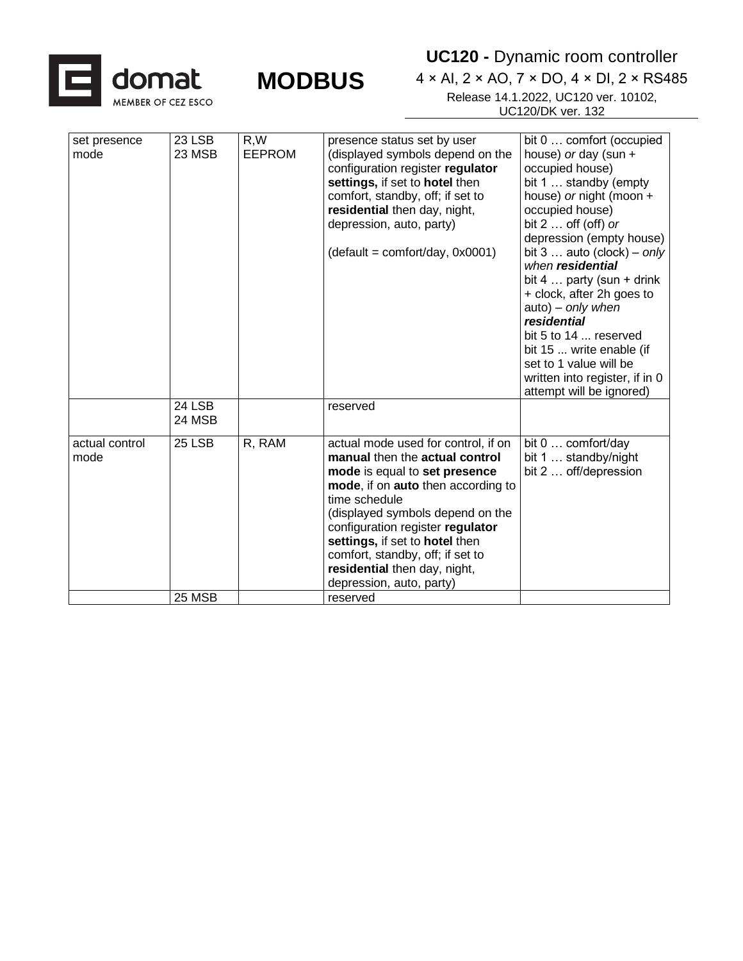

**UC120 -** Dynamic room controller

| set presence<br>mode   | 23 LSB<br>23 MSB | R,W<br><b>EEPROM</b> | presence status set by user<br>(displayed symbols depend on the<br>configuration register regulator<br>settings, if set to hotel then<br>comfort, standby, off; if set to<br>residential then day, night,<br>depression, auto, party)                                                                                                                                   | bit 0  comfort (occupied<br>house) or day (sun $+$<br>occupied house)<br>bit 1  standby (empty<br>house) or night (moon +<br>occupied house)<br>bit $2 \ldots$ off (off) or<br>depression (empty house)                                                                                                    |
|------------------------|------------------|----------------------|-------------------------------------------------------------------------------------------------------------------------------------------------------------------------------------------------------------------------------------------------------------------------------------------------------------------------------------------------------------------------|------------------------------------------------------------------------------------------------------------------------------------------------------------------------------------------------------------------------------------------------------------------------------------------------------------|
|                        |                  |                      | $(detault = comfort/day, 0x0001)$                                                                                                                                                                                                                                                                                                                                       | bit $3 \ldots$ auto (clock) – only<br>when residential<br>bit 4 $\ldots$ party (sun + drink)<br>+ clock, after 2h goes to<br>auto) - only when<br>residential<br>bit 5 to 14  reserved<br>bit 15  write enable (if<br>set to 1 value will be<br>written into register, if in 0<br>attempt will be ignored) |
|                        | 24 LSB<br>24 MSB |                      | reserved                                                                                                                                                                                                                                                                                                                                                                |                                                                                                                                                                                                                                                                                                            |
| actual control<br>mode | 25 LSB           | R, RAM               | actual mode used for control, if on<br>manual then the actual control<br>mode is equal to set presence<br>mode, if on auto then according to<br>time schedule<br>(displayed symbols depend on the<br>configuration register regulator<br>settings, if set to hotel then<br>comfort, standby, off; if set to<br>residential then day, night,<br>depression, auto, party) | bit 0  comfort/day<br>bit 1  standby/night<br>bit 2  off/depression                                                                                                                                                                                                                                        |
|                        | 25 MSB           |                      | reserved                                                                                                                                                                                                                                                                                                                                                                |                                                                                                                                                                                                                                                                                                            |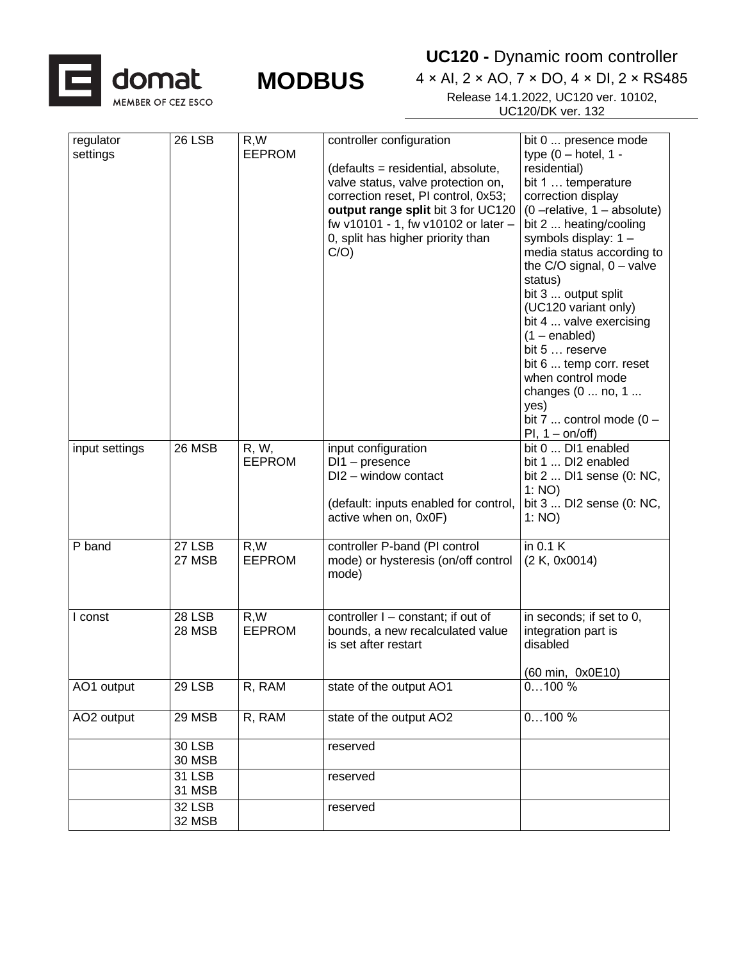![](_page_5_Picture_0.jpeg)

**MODBUS** 

| regulator<br>settings | 26 LSB                         | R,W<br><b>EEPROM</b>   | controller configuration<br>(defaults = residential, absolute,<br>valve status, valve protection on,<br>correction reset, PI control, 0x53;<br>output range split bit 3 for UC120<br>fw v10101 - 1, fw v10102 or later -<br>0, split has higher priority than<br>C/O | bit 0  presence mode<br>type $(0 - hotel, 1 -$<br>residential)<br>bit 1  temperature<br>correction display<br>$(0$ -relative, $1$ - absolute)<br>bit 2  heating/cooling<br>symbols display: 1 -<br>media status according to<br>the $C/O$ signal, $0 - value$<br>status)<br>bit 3  output split<br>(UC120 variant only)<br>bit 4  valve exercising<br>$(1 - enabled)$<br>bit 5  reserve<br>bit 6  temp corr. reset<br>when control mode<br>changes (0  no, 1<br>yes)<br>bit 7  control mode $(0 -$<br>$PI, 1 - on/off)$ |
|-----------------------|--------------------------------|------------------------|----------------------------------------------------------------------------------------------------------------------------------------------------------------------------------------------------------------------------------------------------------------------|-------------------------------------------------------------------------------------------------------------------------------------------------------------------------------------------------------------------------------------------------------------------------------------------------------------------------------------------------------------------------------------------------------------------------------------------------------------------------------------------------------------------------|
| input settings        | 26 MSB                         | R, W,<br><b>EEPROM</b> | input configuration<br>$DI1$ – presence<br>DI2 - window contact<br>(default: inputs enabled for control,<br>active when on, 0x0F)                                                                                                                                    | bit 0  DI1 enabled<br>bit 1  DI2 enabled<br>bit 2  DI1 sense (0: NC,<br>1: NO)<br>bit 3  DI2 sense (0: NC,<br>1: NO)                                                                                                                                                                                                                                                                                                                                                                                                    |
| P band                | 27 LSB<br>27 MSB               | R, W<br><b>EEPROM</b>  | controller P-band (PI control<br>mode) or hysteresis (on/off control<br>mode)                                                                                                                                                                                        | in 0.1 K<br>(2 K, 0x0014)                                                                                                                                                                                                                                                                                                                                                                                                                                                                                               |
| I const               | <b>28 LSB</b><br><b>28 MSB</b> | R.W<br><b>EEPROM</b>   | controller I - constant; if out of<br>bounds, a new recalculated value<br>is set after restart                                                                                                                                                                       | in seconds; if set to 0,<br>integration part is<br>disabled                                                                                                                                                                                                                                                                                                                                                                                                                                                             |
| AO1 output            | 29 LSB                         | R, RAM                 | state of the output AO1                                                                                                                                                                                                                                              | (60 min, 0x0E10)<br>0100%                                                                                                                                                                                                                                                                                                                                                                                                                                                                                               |
| AO2 output            | 29 MSB                         | R, RAM                 | state of the output AO2                                                                                                                                                                                                                                              | $0100\%$                                                                                                                                                                                                                                                                                                                                                                                                                                                                                                                |
|                       | <b>30 LSB</b><br>30 MSB        |                        | reserved                                                                                                                                                                                                                                                             |                                                                                                                                                                                                                                                                                                                                                                                                                                                                                                                         |
|                       | 31 LSB<br>31 MSB               |                        | reserved                                                                                                                                                                                                                                                             |                                                                                                                                                                                                                                                                                                                                                                                                                                                                                                                         |
|                       | 32 LSB<br>32 MSB               |                        | reserved                                                                                                                                                                                                                                                             |                                                                                                                                                                                                                                                                                                                                                                                                                                                                                                                         |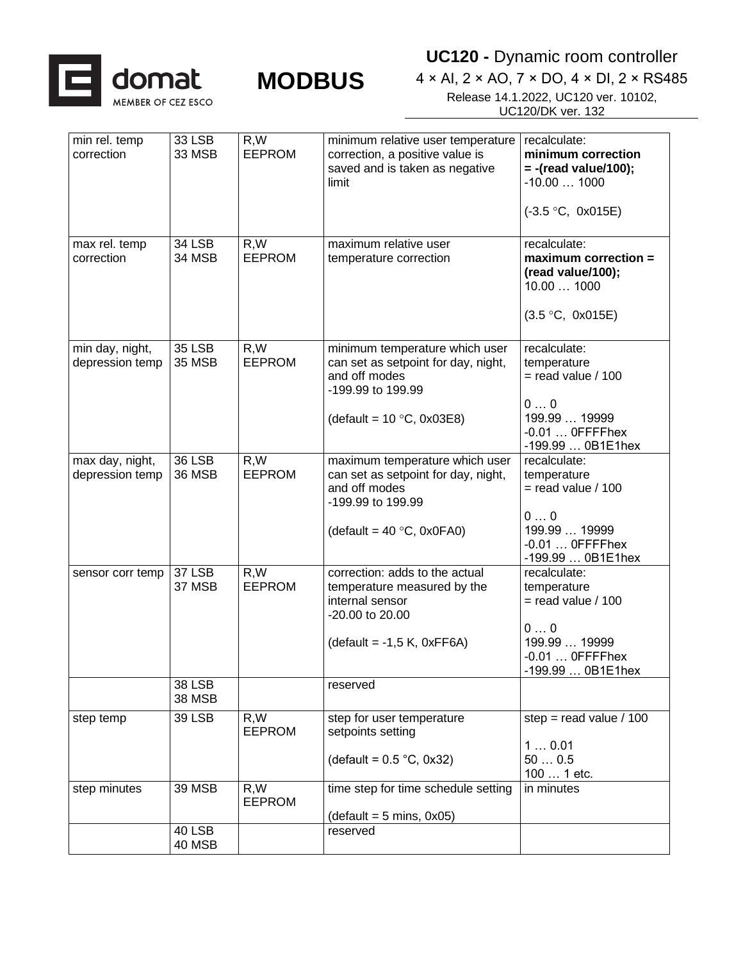![](_page_6_Picture_0.jpeg)

**UC120 -** Dynamic room controller

| min rel. temp<br>correction        | <b>33 LSB</b><br>33 MSB        | R,W<br><b>EEPROM</b>  | minimum relative user temperature<br>correction, a positive value is<br>saved and is taken as negative<br>limit | recalculate:<br>minimum correction<br>$= -$ (read value/100);<br>$-10.001000$ |  |  |
|------------------------------------|--------------------------------|-----------------------|-----------------------------------------------------------------------------------------------------------------|-------------------------------------------------------------------------------|--|--|
|                                    |                                |                       |                                                                                                                 | $(-3.5 °C, 0x015E)$                                                           |  |  |
| max rel. temp<br>correction        | <b>34 LSB</b><br>34 MSB        | R, W<br><b>EEPROM</b> | maximum relative user<br>temperature correction                                                                 | recalculate:<br>$maximum correction =$<br>(read value/100);<br>10.00  1000    |  |  |
|                                    |                                |                       |                                                                                                                 | (3.5 °C, 0x015E)                                                              |  |  |
| min day, night,<br>depression temp | <b>35 LSB</b><br><b>35 MSB</b> | R, W<br><b>EEPROM</b> | minimum temperature which user<br>can set as setpoint for day, night,<br>and off modes<br>-199.99 to 199.99     | recalculate:<br>temperature<br>$=$ read value / 100                           |  |  |
|                                    |                                |                       | (default = $10 °C$ , 0x03E8)                                                                                    | 00<br>199.99  19999<br>$-0.01$ OFFFFhex<br>-199.99  0B1E1hex                  |  |  |
| max day, night,<br>depression temp | <b>36 LSB</b><br><b>36 MSB</b> | R, W<br><b>EEPROM</b> | maximum temperature which user<br>can set as setpoint for day, night,<br>and off modes<br>-199.99 to 199.99     | recalculate:<br>temperature<br>$=$ read value / 100                           |  |  |
|                                    |                                |                       | (default = $40 °C$ , 0x0FA0)                                                                                    | 00<br>199.99  19999<br>$-0.01$ OFFFFhex<br>-199.99  0B1E1hex                  |  |  |
| sensor corr temp                   | 37 LSB<br>37 MSB               | R, W<br><b>EEPROM</b> | correction: adds to the actual<br>temperature measured by the<br>internal sensor<br>-20.00 to 20.00             | recalculate:<br>temperature<br>$=$ read value / 100                           |  |  |
|                                    |                                |                       | $(detault = -1.5 K, 0xFF6A)$                                                                                    | 00<br>199.99  19999<br>$-0.01$ OFFFFhex<br>199.99  0B1E1hex                   |  |  |
|                                    | <b>38 LSB</b><br><b>38 MSB</b> |                       | reserved                                                                                                        |                                                                               |  |  |
| step temp                          | <b>39 LSB</b>                  | R, W<br><b>EEPROM</b> | step for user temperature<br>setpoints setting                                                                  | step = read value $/ 100$<br>10.01                                            |  |  |
|                                    |                                |                       | (default = $0.5$ °C, 0x32)                                                                                      | 500.5<br>100  1 etc.                                                          |  |  |
| step minutes                       | <b>39 MSB</b>                  | R,W<br><b>EEPROM</b>  | time step for time schedule setting<br>$(detault = 5 mins, 0x05)$                                               | in minutes                                                                    |  |  |
|                                    | 40 LSB<br>40 MSB               |                       | reserved                                                                                                        |                                                                               |  |  |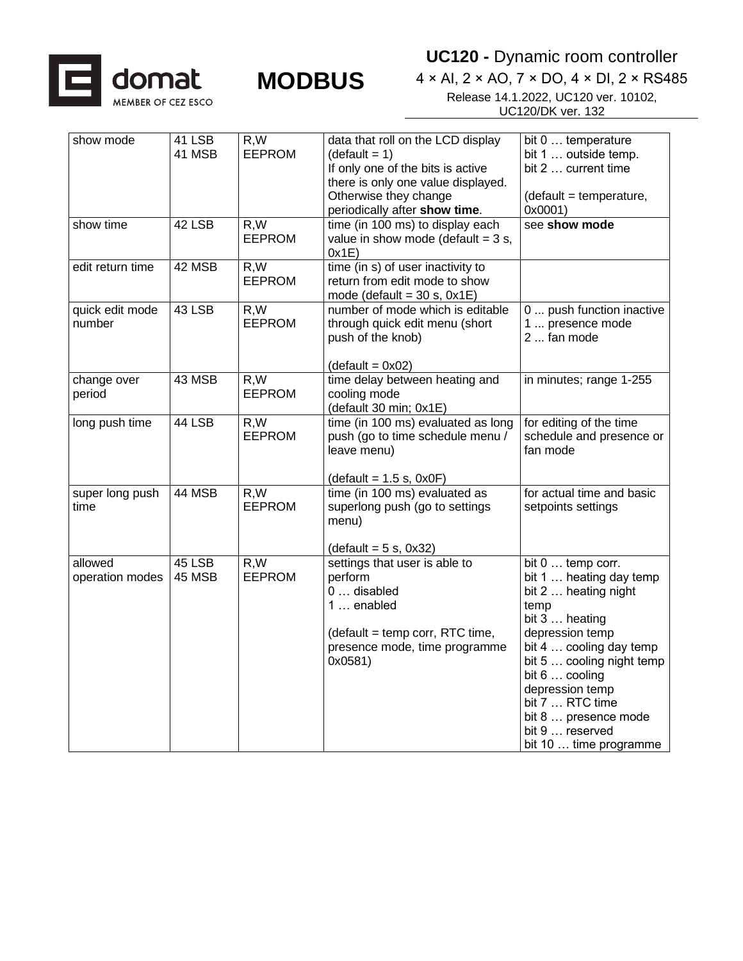![](_page_7_Picture_0.jpeg)

![](_page_7_Picture_1.jpeg)

**UC120 -** Dynamic room controller

| show mode        | 41 LSB | R,W           | data that roll on the LCD display     | bit 0  temperature        |
|------------------|--------|---------------|---------------------------------------|---------------------------|
|                  | 41 MSB | <b>EEPROM</b> | $(detault = 1)$                       | bit 1  outside temp.      |
|                  |        |               | If only one of the bits is active     | bit 2  current time       |
|                  |        |               | there is only one value displayed.    |                           |
|                  |        |               | Otherwise they change                 | (default = temperature,   |
|                  |        |               | periodically after show time.         | 0x0001)                   |
| show time        | 42 LSB | R, W          | time (in 100 ms) to display each      | see show mode             |
|                  |        | <b>EEPROM</b> | value in show mode (default = $3 s$ , |                           |
|                  |        |               | 0x1E)                                 |                           |
| edit return time | 42 MSB | R,W           | $time (in s)$ of user inactivity to   |                           |
|                  |        | <b>EEPROM</b> | return from edit mode to show         |                           |
|                  |        |               | mode (default = $30$ s, $0x1E$ )      |                           |
| quick edit mode  | 43 LSB | R, W          | number of mode which is editable      | 0  push function inactive |
| number           |        | <b>EEPROM</b> | through quick edit menu (short        | 1  presence mode          |
|                  |        |               | push of the knob)                     | 2  fan mode               |
|                  |        |               |                                       |                           |
|                  |        |               | $(detault = 0x02)$                    |                           |
| change over      | 43 MSB | R,W           | time delay between heating and        | in minutes; range 1-255   |
| period           |        | <b>EEPROM</b> | cooling mode                          |                           |
|                  |        |               | (default 30 min; 0x1E)                |                           |
| long push time   | 44 LSB | R, W          | time (in 100 ms) evaluated as long    | for editing of the time   |
|                  |        | <b>EEPROM</b> | push (go to time schedule menu /      | schedule and presence or  |
|                  |        |               | leave menu)                           | fan mode                  |
|                  |        |               |                                       |                           |
|                  |        |               | $(detault = 1.5 s, 0x0F)$             |                           |
| super long push  | 44 MSB | R,W           | time (in 100 ms) evaluated as         | for actual time and basic |
| time             |        | <b>EEPROM</b> | superlong push (go to settings        | setpoints settings        |
|                  |        |               | menu)                                 |                           |
|                  |        |               |                                       |                           |
|                  |        |               | $(detault = 5 s, 0x32)$               |                           |
| allowed          | 45 LSB | R.W           | settings that user is able to         | bit 0  temp corr.         |
| operation modes  | 45 MSB | <b>EEPROM</b> | perform                               | bit 1  heating day temp   |
|                  |        |               | 0  disabled                           | bit 2  heating night      |
|                  |        |               | 1  enabled                            | temp                      |
|                  |        |               |                                       | bit 3  heating            |
|                  |        |               | (default = temp corr, RTC time,       | depression temp           |
|                  |        |               | presence mode, time programme         | bit 4  cooling day temp   |
|                  |        |               | 0x0581)                               | bit 5  cooling night temp |
|                  |        |               |                                       | bit $6 \ldots$ cooling    |
|                  |        |               |                                       | depression temp           |
|                  |        |               |                                       | bit 7  RTC time           |
|                  |        |               |                                       | bit 8  presence mode      |
|                  |        |               |                                       | bit 9  reserved           |
|                  |        |               |                                       | bit 10  time programme    |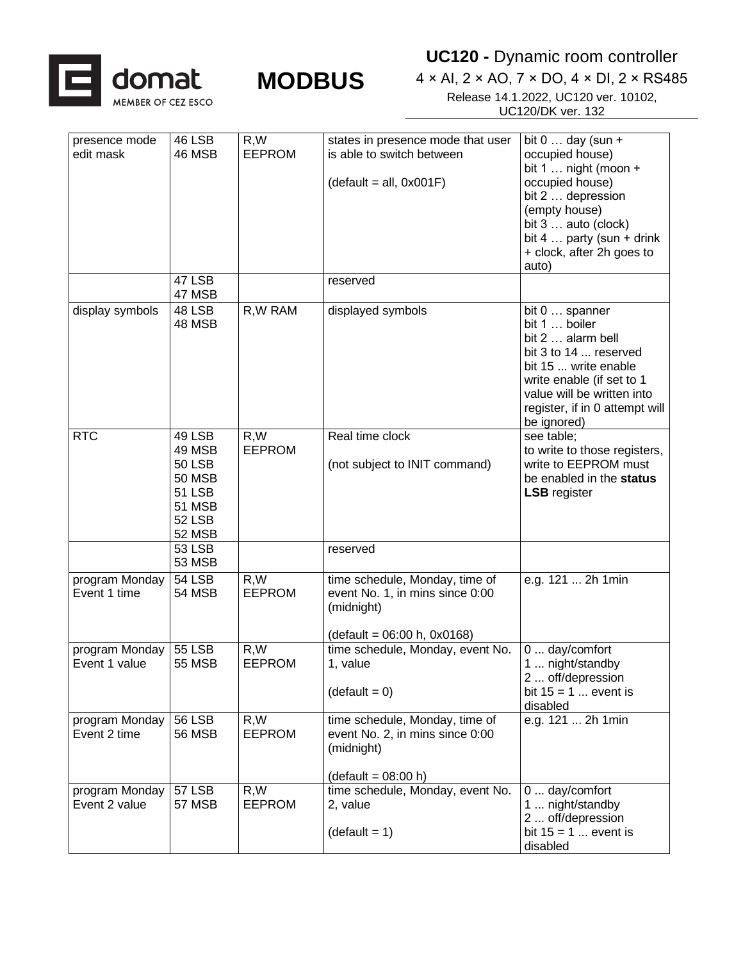![](_page_8_Picture_0.jpeg)

**UC120 -** Dynamic room controller

| presence mode<br>edit mask      | 46 LSB<br>46 MSB                                                                                                | R, W<br><b>EEPROM</b> | states in presence mode that user<br>is able to switch between                                                 | bit $0 \ldots$ day (sun +<br>occupied house)                                                                                                                                                                      |
|---------------------------------|-----------------------------------------------------------------------------------------------------------------|-----------------------|----------------------------------------------------------------------------------------------------------------|-------------------------------------------------------------------------------------------------------------------------------------------------------------------------------------------------------------------|
|                                 |                                                                                                                 |                       | $(detault = all, 0x001F)$                                                                                      | bit 1  night (moon $+$<br>occupied house)<br>bit 2  depression<br>(empty house)<br>bit 3  auto (clock)<br>bit $4 \ldots$ party (sun + drink<br>+ clock, after 2h goes to<br>auto)                                 |
|                                 | 47 LSB<br>47 MSB                                                                                                |                       | reserved                                                                                                       |                                                                                                                                                                                                                   |
| display symbols                 | 48 LSB<br>48 MSB                                                                                                | R, W RAM              | displayed symbols                                                                                              | bit 0  spanner<br>bit 1  boiler<br>bit 2  alarm bell<br>bit 3 to 14  reserved<br>bit 15  write enable<br>write enable (if set to 1<br>value will be written into<br>register, if in 0 attempt will<br>be ignored) |
| <b>RTC</b>                      | 49 LSB<br>49 MSB<br><b>50 LSB</b><br><b>50 MSB</b><br><b>51 LSB</b><br><b>51 MSB</b><br>52 LSB<br><b>52 MSB</b> | R,W<br><b>EEPROM</b>  | Real time clock<br>(not subject to INIT command)                                                               | see table;<br>to write to those registers,<br>write to EEPROM must<br>be enabled in the status<br><b>LSB</b> register                                                                                             |
|                                 | <b>53 LSB</b><br><b>53 MSB</b>                                                                                  |                       | reserved                                                                                                       |                                                                                                                                                                                                                   |
| program Monday<br>Event 1 time  | <b>54 LSB</b><br>54 MSB                                                                                         | R, W<br><b>EEPROM</b> | time schedule, Monday, time of<br>event No. 1, in mins since 0:00<br>(midnight)<br>(default = 06:00 h, 0x0168) | e.g. 121  2h 1min                                                                                                                                                                                                 |
| program Monday<br>Event 1 value | <b>55 LSB</b><br><b>55 MSB</b>                                                                                  | R, W<br><b>EEPROM</b> | time schedule, Monday, event No.<br>1, value<br>$(detault = 0)$                                                | $0 \ldots$ day/comfort<br>1  night/standby<br>2  off/depression<br>bit $15 = 1$ event is<br>disabled                                                                                                              |
| program Monday<br>Event 2 time  | <b>56 LSB</b><br><b>56 MSB</b>                                                                                  | R, W<br><b>EEPROM</b> | time schedule, Monday, time of<br>event No. 2, in mins since 0:00<br>(midnight)<br>$(detault = 08:00 h)$       | e.g. 121  2h 1min                                                                                                                                                                                                 |
| program Monday<br>Event 2 value | <b>57 LSB</b><br><b>57 MSB</b>                                                                                  | R,W<br><b>EEPROM</b>  | time schedule, Monday, event No.<br>2, value<br>$(detault = 1)$                                                | $0 \dots$ day/comfort<br>1  night/standby<br>2  off/depression<br>bit $15 = 1$ event is<br>disabled                                                                                                               |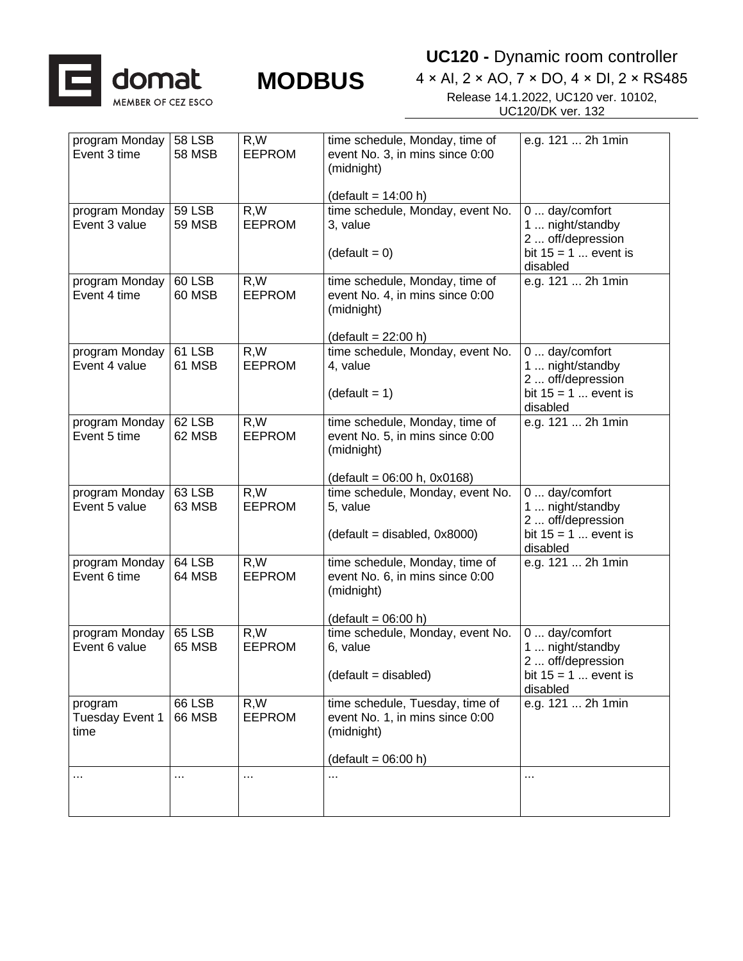![](_page_9_Picture_0.jpeg)

**UC120 -** Dynamic room controller

| program Monday                  | <b>58 LSB</b>           | R,W                   | time schedule, Monday, time of                            | e.g. 121  2h 1min                  |
|---------------------------------|-------------------------|-----------------------|-----------------------------------------------------------|------------------------------------|
| Event 3 time                    | <b>58 MSB</b>           | <b>EEPROM</b>         | event No. 3, in mins since 0:00                           |                                    |
|                                 |                         |                       | (midnight)                                                |                                    |
|                                 |                         |                       |                                                           |                                    |
|                                 | <b>59 LSB</b>           | R, W                  | $(detault = 14:00 h)$<br>time schedule, Monday, event No. | 0  day/comfort                     |
| program Monday<br>Event 3 value | <b>59 MSB</b>           | <b>EEPROM</b>         | 3, value                                                  | 1  night/standby                   |
|                                 |                         |                       |                                                           | 2  off/depression                  |
|                                 |                         |                       | $(detault = 0)$                                           | bit $15 = 1$ event is              |
|                                 |                         |                       |                                                           | disabled                           |
| program Monday                  | 60 LSB                  | R, W                  | time schedule, Monday, time of                            | e.g. 121  2h 1min                  |
| Event 4 time                    | 60 MSB                  | <b>EEPROM</b>         | event No. 4, in mins since 0:00                           |                                    |
|                                 |                         |                       | (midnight)                                                |                                    |
|                                 |                         |                       |                                                           |                                    |
|                                 |                         |                       | $(detault = 22:00 h)$                                     |                                    |
| program Monday<br>Event 4 value | 61 LSB<br>61 MSB        | R, W<br><b>EEPROM</b> | time schedule, Monday, event No.<br>4, value              | 0  day/comfort<br>1  night/standby |
|                                 |                         |                       |                                                           | 2  off/depression                  |
|                                 |                         |                       | $(detault = 1)$                                           | bit $15 = 1$ event is              |
|                                 |                         |                       |                                                           | disabled                           |
| program Monday                  | 62 LSB                  | R, W                  | time schedule, Monday, time of                            | e.g. 121  2h 1min                  |
| Event 5 time                    | 62 MSB                  | <b>EEPROM</b>         | event No. 5, in mins since 0:00                           |                                    |
|                                 |                         |                       | (midnight)                                                |                                    |
|                                 |                         |                       |                                                           |                                    |
|                                 |                         |                       | $(detault = 06:00 h, 0x0168)$                             |                                    |
| program Monday<br>Event 5 value | 63 LSB<br>63 MSB        | R,W<br><b>EEPROM</b>  | time schedule, Monday, event No.<br>5, value              | 0  day/comfort<br>1  night/standby |
|                                 |                         |                       |                                                           | 2  off/depression                  |
|                                 |                         |                       | $(detault = disabled, 0x8000)$                            | bit $15 = 1$ event is              |
|                                 |                         |                       |                                                           | disabled                           |
| program Monday                  | 64 LSB                  | R, W                  | time schedule, Monday, time of                            | e.g. 121  2h 1min                  |
| Event 6 time                    | 64 MSB                  | <b>EEPROM</b>         | event No. 6, in mins since 0:00                           |                                    |
|                                 |                         |                       | (midnight)                                                |                                    |
|                                 |                         |                       |                                                           |                                    |
|                                 |                         |                       | $(detault = 06:00 h)$                                     |                                    |
| program Monday<br>Event 6 value | 65 LSB<br><b>65 MSB</b> | R, W<br><b>EEPROM</b> | time schedule, Monday, event No.<br>6, value              | 0  day/comfort<br>1  night/standby |
|                                 |                         |                       |                                                           | 2  off/depression                  |
|                                 |                         |                       | $(detault = disabled)$                                    | bit $15 = 1$ event is              |
|                                 |                         |                       |                                                           | disabled                           |
| program                         | 66 LSB                  | R,W                   | time schedule, Tuesday, time of                           | e.g. 121  2h 1min                  |
| Tuesday Event 1                 | <b>66 MSB</b>           | <b>EEPROM</b>         | event No. 1, in mins since 0:00                           |                                    |
| time                            |                         |                       | (midnight)                                                |                                    |
|                                 |                         |                       |                                                           |                                    |
|                                 |                         |                       | $(detault = 06:00 h)$                                     |                                    |
| $\cdots$                        | $\cdots$                | $\cdots$              | $\cdots$                                                  | $\cdots$                           |
|                                 |                         |                       |                                                           |                                    |
|                                 |                         |                       |                                                           |                                    |